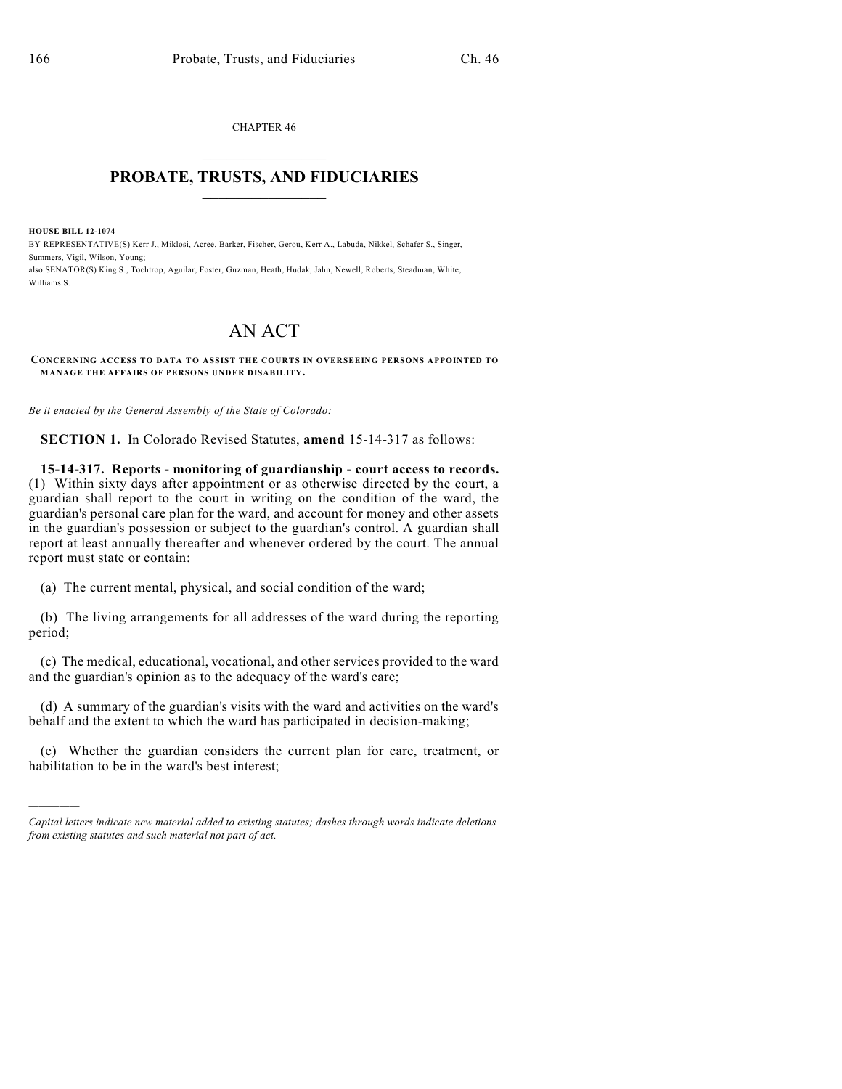CHAPTER 46  $\mathcal{L}_\text{max}$  . The set of the set of the set of the set of the set of the set of the set of the set of the set of the set of the set of the set of the set of the set of the set of the set of the set of the set of the set

## **PROBATE, TRUSTS, AND FIDUCIARIES**  $\overline{\phantom{a}}$

**HOUSE BILL 12-1074**

)))))

BY REPRESENTATIVE(S) Kerr J., Miklosi, Acree, Barker, Fischer, Gerou, Kerr A., Labuda, Nikkel, Schafer S., Singer, Summers, Vigil, Wilson, Young;

also SENATOR(S) King S., Tochtrop, Aguilar, Foster, Guzman, Heath, Hudak, Jahn, Newell, Roberts, Steadman, White, Williams S.

## AN ACT

**CONCERNING ACCESS TO DATA TO ASSIST THE COURTS IN OVERSEEING PERSONS APPOINTED TO MANAGE THE AFFAIRS OF PERSONS UNDER DISABILITY.**

*Be it enacted by the General Assembly of the State of Colorado:*

**SECTION 1.** In Colorado Revised Statutes, **amend** 15-14-317 as follows:

**15-14-317. Reports - monitoring of guardianship - court access to records.** (1) Within sixty days after appointment or as otherwise directed by the court, a guardian shall report to the court in writing on the condition of the ward, the guardian's personal care plan for the ward, and account for money and other assets in the guardian's possession or subject to the guardian's control. A guardian shall report at least annually thereafter and whenever ordered by the court. The annual report must state or contain:

(a) The current mental, physical, and social condition of the ward;

(b) The living arrangements for all addresses of the ward during the reporting period;

(c) The medical, educational, vocational, and other services provided to the ward and the guardian's opinion as to the adequacy of the ward's care;

(d) A summary of the guardian's visits with the ward and activities on the ward's behalf and the extent to which the ward has participated in decision-making;

(e) Whether the guardian considers the current plan for care, treatment, or habilitation to be in the ward's best interest;

*Capital letters indicate new material added to existing statutes; dashes through words indicate deletions from existing statutes and such material not part of act.*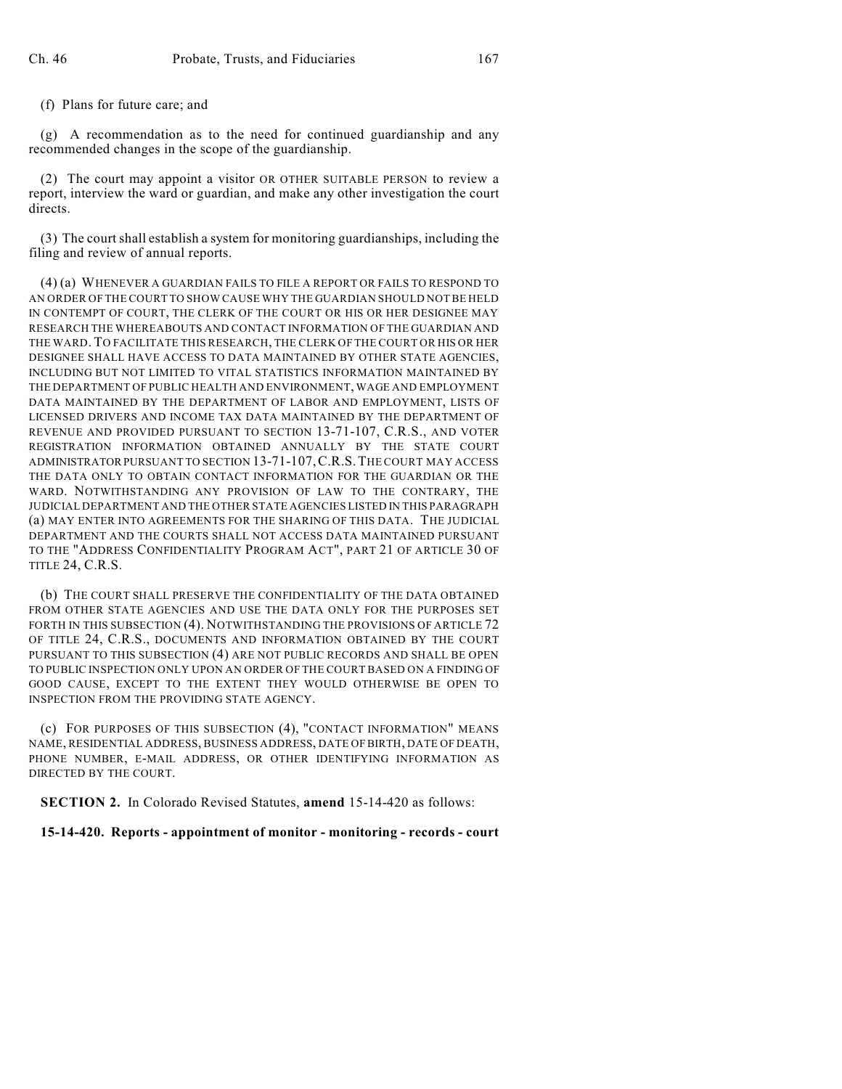(f) Plans for future care; and

(g) A recommendation as to the need for continued guardianship and any recommended changes in the scope of the guardianship.

(2) The court may appoint a visitor OR OTHER SUITABLE PERSON to review a report, interview the ward or guardian, and make any other investigation the court directs.

 $(3)$  The court shall establish a system for monitoring guardianships, including the filing and review of annual reports.

(4) (a) WHENEVER A GUARDIAN FAILS TO FILE A REPORT OR FAILS TO RESPOND TO AN ORDER OF THE COURT TO SHOW CAUSE WHY THE GUARDIAN SHOULD NOTBE HELD IN CONTEMPT OF COURT, THE CLERK OF THE COURT OR HIS OR HER DESIGNEE MAY RESEARCH THE WHEREABOUTS AND CONTACT INFORMATION OF THE GUARDIAN AND THE WARD. TO FACILITATE THIS RESEARCH, THE CLERK OF THE COURT OR HIS OR HER DESIGNEE SHALL HAVE ACCESS TO DATA MAINTAINED BY OTHER STATE AGENCIES, INCLUDING BUT NOT LIMITED TO VITAL STATISTICS INFORMATION MAINTAINED BY THE DEPARTMENT OF PUBLIC HEALTH AND ENVIRONMENT, WAGE AND EMPLOYMENT DATA MAINTAINED BY THE DEPARTMENT OF LABOR AND EMPLOYMENT, LISTS OF LICENSED DRIVERS AND INCOME TAX DATA MAINTAINED BY THE DEPARTMENT OF REVENUE AND PROVIDED PURSUANT TO SECTION 13-71-107, C.R.S., AND VOTER REGISTRATION INFORMATION OBTAINED ANNUALLY BY THE STATE COURT ADMINISTRATORPURSUANT TO SECTION 13-71-107,C.R.S.THE COURT MAY ACCESS THE DATA ONLY TO OBTAIN CONTACT INFORMATION FOR THE GUARDIAN OR THE WARD. NOTWITHSTANDING ANY PROVISION OF LAW TO THE CONTRARY, THE JUDICIAL DEPARTMENT AND THE OTHER STATE AGENCIES LISTED IN THIS PARAGRAPH (a) MAY ENTER INTO AGREEMENTS FOR THE SHARING OF THIS DATA. THE JUDICIAL DEPARTMENT AND THE COURTS SHALL NOT ACCESS DATA MAINTAINED PURSUANT TO THE "ADDRESS CONFIDENTIALITY PROGRAM ACT", PART 21 OF ARTICLE 30 OF TITLE 24, C.R.S.

(b) THE COURT SHALL PRESERVE THE CONFIDENTIALITY OF THE DATA OBTAINED FROM OTHER STATE AGENCIES AND USE THE DATA ONLY FOR THE PURPOSES SET FORTH IN THIS SUBSECTION (4). NOTWITHSTANDING THE PROVISIONS OF ARTICLE 72 OF TITLE 24, C.R.S., DOCUMENTS AND INFORMATION OBTAINED BY THE COURT PURSUANT TO THIS SUBSECTION (4) ARE NOT PUBLIC RECORDS AND SHALL BE OPEN TO PUBLIC INSPECTION ONLY UPON AN ORDER OF THE COURT BASED ON A FINDING OF GOOD CAUSE, EXCEPT TO THE EXTENT THEY WOULD OTHERWISE BE OPEN TO INSPECTION FROM THE PROVIDING STATE AGENCY.

(c) FOR PURPOSES OF THIS SUBSECTION (4), "CONTACT INFORMATION" MEANS NAME, RESIDENTIAL ADDRESS, BUSINESS ADDRESS, DATE OF BIRTH, DATE OF DEATH, PHONE NUMBER, E-MAIL ADDRESS, OR OTHER IDENTIFYING INFORMATION AS DIRECTED BY THE COURT.

**SECTION 2.** In Colorado Revised Statutes, **amend** 15-14-420 as follows:

**15-14-420. Reports - appointment of monitor - monitoring - records - court**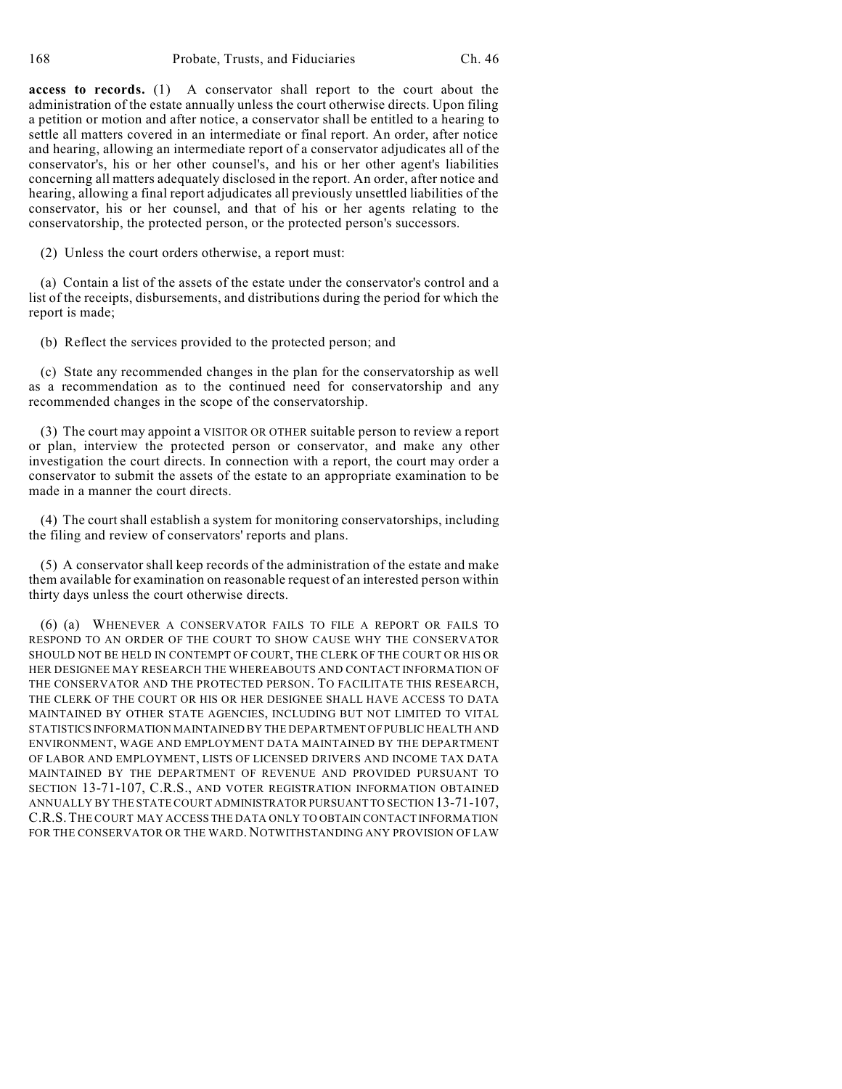**access to records.** (1) A conservator shall report to the court about the administration of the estate annually unless the court otherwise directs. Upon filing a petition or motion and after notice, a conservator shall be entitled to a hearing to settle all matters covered in an intermediate or final report. An order, after notice and hearing, allowing an intermediate report of a conservator adjudicates all of the conservator's, his or her other counsel's, and his or her other agent's liabilities concerning all matters adequately disclosed in the report. An order, after notice and hearing, allowing a final report adjudicates all previously unsettled liabilities of the conservator, his or her counsel, and that of his or her agents relating to the conservatorship, the protected person, or the protected person's successors.

(2) Unless the court orders otherwise, a report must:

(a) Contain a list of the assets of the estate under the conservator's control and a list of the receipts, disbursements, and distributions during the period for which the report is made;

(b) Reflect the services provided to the protected person; and

(c) State any recommended changes in the plan for the conservatorship as well as a recommendation as to the continued need for conservatorship and any recommended changes in the scope of the conservatorship.

(3) The court may appoint a VISITOR OR OTHER suitable person to review a report or plan, interview the protected person or conservator, and make any other investigation the court directs. In connection with a report, the court may order a conservator to submit the assets of the estate to an appropriate examination to be made in a manner the court directs.

(4) The court shall establish a system for monitoring conservatorships, including the filing and review of conservators' reports and plans.

(5) A conservator shall keep records of the administration of the estate and make them available for examination on reasonable request of an interested person within thirty days unless the court otherwise directs.

(6) (a) WHENEVER A CONSERVATOR FAILS TO FILE A REPORT OR FAILS TO RESPOND TO AN ORDER OF THE COURT TO SHOW CAUSE WHY THE CONSERVATOR SHOULD NOT BE HELD IN CONTEMPT OF COURT, THE CLERK OF THE COURT OR HIS OR HER DESIGNEE MAY RESEARCH THE WHEREABOUTS AND CONTACT INFORMATION OF THE CONSERVATOR AND THE PROTECTED PERSON. TO FACILITATE THIS RESEARCH, THE CLERK OF THE COURT OR HIS OR HER DESIGNEE SHALL HAVE ACCESS TO DATA MAINTAINED BY OTHER STATE AGENCIES, INCLUDING BUT NOT LIMITED TO VITAL STATISTICS INFORMATION MAINTAINED BY THE DEPARTMENT OF PUBLIC HEALTH AND ENVIRONMENT, WAGE AND EMPLOYMENT DATA MAINTAINED BY THE DEPARTMENT OF LABOR AND EMPLOYMENT, LISTS OF LICENSED DRIVERS AND INCOME TAX DATA MAINTAINED BY THE DEPARTMENT OF REVENUE AND PROVIDED PURSUANT TO SECTION 13-71-107, C.R.S., AND VOTER REGISTRATION INFORMATION OBTAINED ANNUALLY BY THE STATE COURT ADMINISTRATOR PURSUANT TO SECTION 13-71-107, C.R.S.THE COURT MAY ACCESS THE DATA ONLY TO OBTAIN CONTACT INFORMATION FOR THE CONSERVATOR OR THE WARD. NOTWITHSTANDING ANY PROVISION OF LAW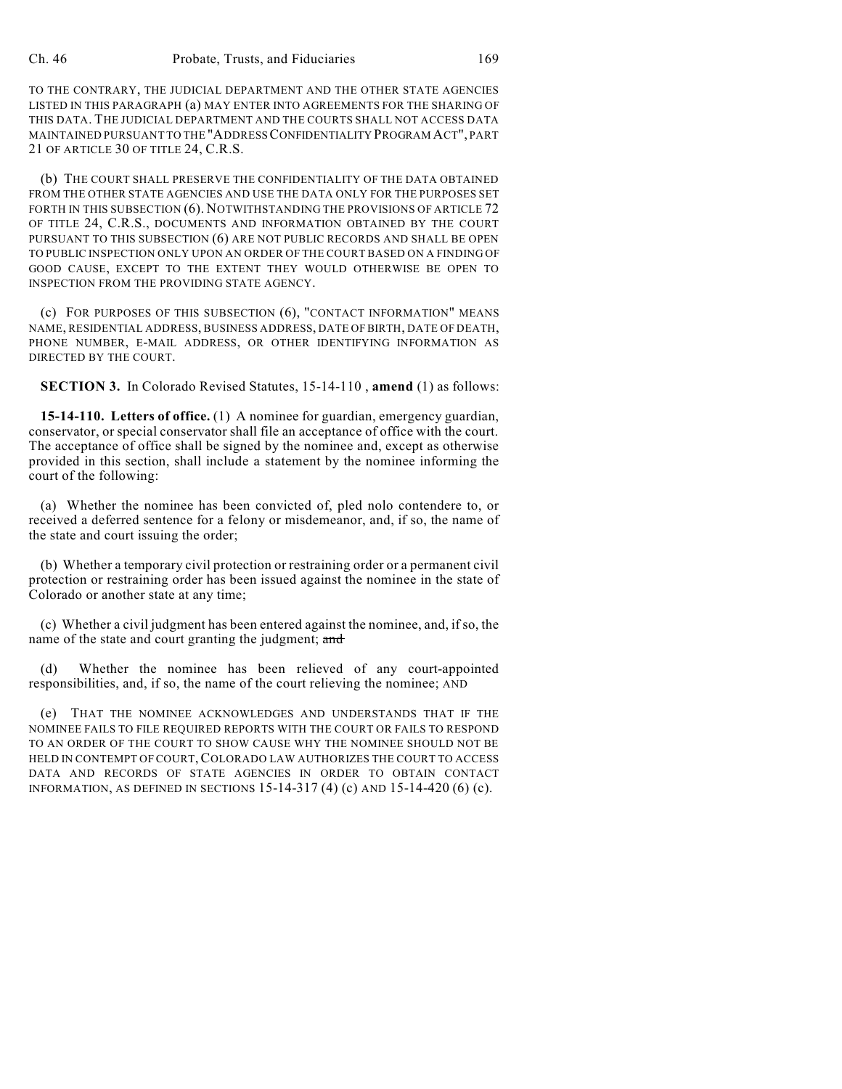TO THE CONTRARY, THE JUDICIAL DEPARTMENT AND THE OTHER STATE AGENCIES LISTED IN THIS PARAGRAPH (a) MAY ENTER INTO AGREEMENTS FOR THE SHARING OF THIS DATA. THE JUDICIAL DEPARTMENT AND THE COURTS SHALL NOT ACCESS DATA MAINTAINED PURSUANT TO THE "ADDRESSCONFIDENTIALITY PROGRAM ACT", PART 21 OF ARTICLE 30 OF TITLE 24, C.R.S.

(b) THE COURT SHALL PRESERVE THE CONFIDENTIALITY OF THE DATA OBTAINED FROM THE OTHER STATE AGENCIES AND USE THE DATA ONLY FOR THE PURPOSES SET FORTH IN THIS SUBSECTION (6). NOTWITHSTANDING THE PROVISIONS OF ARTICLE 72 OF TITLE 24, C.R.S., DOCUMENTS AND INFORMATION OBTAINED BY THE COURT PURSUANT TO THIS SUBSECTION (6) ARE NOT PUBLIC RECORDS AND SHALL BE OPEN TO PUBLIC INSPECTION ONLY UPON AN ORDER OF THE COURT BASED ON A FINDING OF GOOD CAUSE, EXCEPT TO THE EXTENT THEY WOULD OTHERWISE BE OPEN TO INSPECTION FROM THE PROVIDING STATE AGENCY.

(c) FOR PURPOSES OF THIS SUBSECTION (6), "CONTACT INFORMATION" MEANS NAME, RESIDENTIAL ADDRESS, BUSINESS ADDRESS, DATE OF BIRTH, DATE OF DEATH, PHONE NUMBER, E-MAIL ADDRESS, OR OTHER IDENTIFYING INFORMATION AS DIRECTED BY THE COURT.

**SECTION 3.** In Colorado Revised Statutes, 15-14-110 , **amend** (1) as follows:

**15-14-110. Letters of office.** (1) A nominee for guardian, emergency guardian, conservator, or special conservator shall file an acceptance of office with the court. The acceptance of office shall be signed by the nominee and, except as otherwise provided in this section, shall include a statement by the nominee informing the court of the following:

(a) Whether the nominee has been convicted of, pled nolo contendere to, or received a deferred sentence for a felony or misdemeanor, and, if so, the name of the state and court issuing the order;

(b) Whether a temporary civil protection or restraining order or a permanent civil protection or restraining order has been issued against the nominee in the state of Colorado or another state at any time;

(c) Whether a civil judgment has been entered against the nominee, and, if so, the name of the state and court granting the judgment; and

(d) Whether the nominee has been relieved of any court-appointed responsibilities, and, if so, the name of the court relieving the nominee; AND

(e) THAT THE NOMINEE ACKNOWLEDGES AND UNDERSTANDS THAT IF THE NOMINEE FAILS TO FILE REQUIRED REPORTS WITH THE COURT OR FAILS TO RESPOND TO AN ORDER OF THE COURT TO SHOW CAUSE WHY THE NOMINEE SHOULD NOT BE HELD IN CONTEMPT OF COURT, COLORADO LAW AUTHORIZES THE COURT TO ACCESS DATA AND RECORDS OF STATE AGENCIES IN ORDER TO OBTAIN CONTACT INFORMATION, AS DEFINED IN SECTIONS 15-14-317 (4) (c) AND 15-14-420 (6) (c).